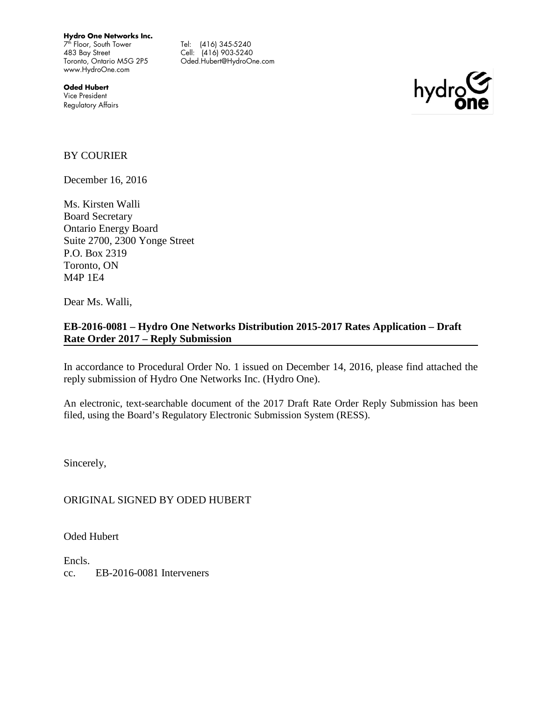**Hydro One Networks Inc.**

 $7<sup>th</sup>$  Floor, South Tower 483 Bay Street Toronto, Ontario M5G 2P5 www.HydroOne.com

Tel: (416) 345-5240 Cell: (416) 903-5240 Oded.Hubert@HydroOne.com

**Oded Hubert** Vice President Regulatory Affairs



#### BY COURIER

December 16, 2016

Ms. Kirsten Walli Board Secretary Ontario Energy Board Suite 2700, 2300 Yonge Street P.O. Box 2319 Toronto, ON M4P 1E4

Dear Ms. Walli,

# **EB-2016-0081 – Hydro One Networks Distribution 2015-2017 Rates Application – Draft Rate Order 2017 – Reply Submission**

In accordance to Procedural Order No. 1 issued on December 14, 2016, please find attached the reply submission of Hydro One Networks Inc. (Hydro One).

An electronic, text-searchable document of the 2017 Draft Rate Order Reply Submission has been filed, using the Board's Regulatory Electronic Submission System (RESS).

Sincerely,

ORIGINAL SIGNED BY ODED HUBERT

Oded Hubert

Encls. cc. EB-2016-0081 Interveners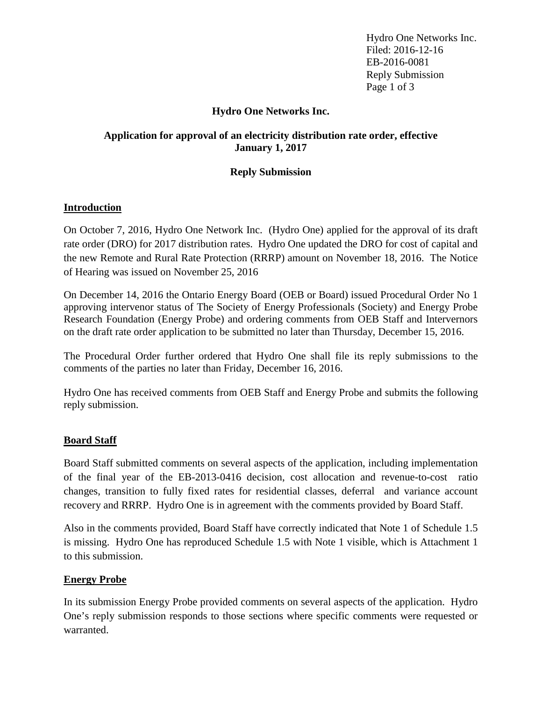Hydro One Networks Inc. Filed: 2016-12-16 EB-2016-0081 Reply Submission Page 1 of 3

# **Hydro One Networks Inc.**

# **Application for approval of an electricity distribution rate order, effective January 1, 2017**

# **Reply Submission**

# **Introduction**

On October 7, 2016, Hydro One Network Inc. (Hydro One) applied for the approval of its draft rate order (DRO) for 2017 distribution rates. Hydro One updated the DRO for cost of capital and the new Remote and Rural Rate Protection (RRRP) amount on November 18, 2016. The Notice of Hearing was issued on November 25, 2016

On December 14, 2016 the Ontario Energy Board (OEB or Board) issued Procedural Order No 1 approving intervenor status of The Society of Energy Professionals (Society) and Energy Probe Research Foundation (Energy Probe) and ordering comments from OEB Staff and Intervernors on the draft rate order application to be submitted no later than Thursday, December 15, 2016.

The Procedural Order further ordered that Hydro One shall file its reply submissions to the comments of the parties no later than Friday, December 16, 2016.

Hydro One has received comments from OEB Staff and Energy Probe and submits the following reply submission.

# **Board Staff**

Board Staff submitted comments on several aspects of the application, including implementation of the final year of the EB-2013-0416 decision, cost allocation and revenue-to-cost ratio changes, transition to fully fixed rates for residential classes, deferral and variance account recovery and RRRP. Hydro One is in agreement with the comments provided by Board Staff.

Also in the comments provided, Board Staff have correctly indicated that Note 1 of Schedule 1.5 is missing. Hydro One has reproduced Schedule 1.5 with Note 1 visible, which is Attachment 1 to this submission.

# **Energy Probe**

In its submission Energy Probe provided comments on several aspects of the application. Hydro One's reply submission responds to those sections where specific comments were requested or warranted.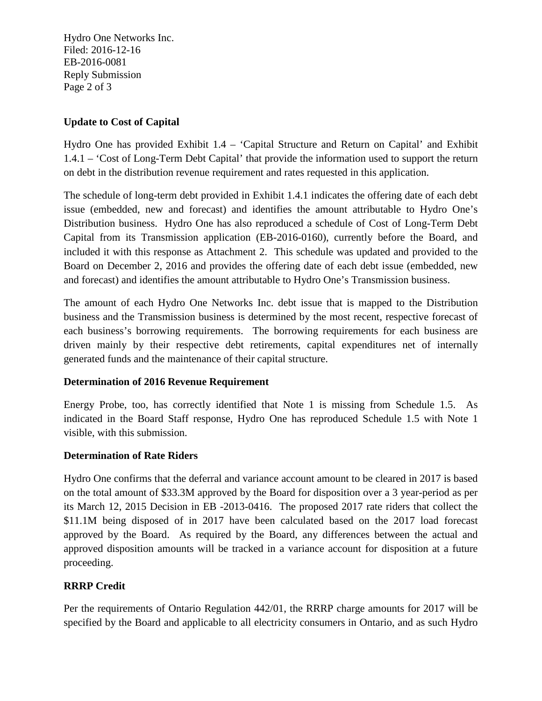Hydro One Networks Inc. Filed: 2016-12-16 EB-2016-0081 Reply Submission Page 2 of 3

# **Update to Cost of Capital**

Hydro One has provided Exhibit 1.4 – 'Capital Structure and Return on Capital' and Exhibit 1.4.1 – 'Cost of Long-Term Debt Capital' that provide the information used to support the return on debt in the distribution revenue requirement and rates requested in this application.

The schedule of long-term debt provided in Exhibit 1.4.1 indicates the offering date of each debt issue (embedded, new and forecast) and identifies the amount attributable to Hydro One's Distribution business. Hydro One has also reproduced a schedule of Cost of Long-Term Debt Capital from its Transmission application (EB-2016-0160), currently before the Board, and included it with this response as Attachment 2. This schedule was updated and provided to the Board on December 2, 2016 and provides the offering date of each debt issue (embedded, new and forecast) and identifies the amount attributable to Hydro One's Transmission business.

The amount of each Hydro One Networks Inc. debt issue that is mapped to the Distribution business and the Transmission business is determined by the most recent, respective forecast of each business's borrowing requirements. The borrowing requirements for each business are driven mainly by their respective debt retirements, capital expenditures net of internally generated funds and the maintenance of their capital structure.

# **Determination of 2016 Revenue Requirement**

Energy Probe, too, has correctly identified that Note 1 is missing from Schedule 1.5. As indicated in the Board Staff response, Hydro One has reproduced Schedule 1.5 with Note 1 visible, with this submission.

# **Determination of Rate Riders**

Hydro One confirms that the deferral and variance account amount to be cleared in 2017 is based on the total amount of \$33.3M approved by the Board for disposition over a 3 year-period as per its March 12, 2015 Decision in EB -2013-0416. The proposed 2017 rate riders that collect the \$11.1M being disposed of in 2017 have been calculated based on the 2017 load forecast approved by the Board. As required by the Board, any differences between the actual and approved disposition amounts will be tracked in a variance account for disposition at a future proceeding.

# **RRRP Credit**

Per the requirements of Ontario Regulation 442/01, the RRRP charge amounts for 2017 will be specified by the Board and applicable to all electricity consumers in Ontario, and as such Hydro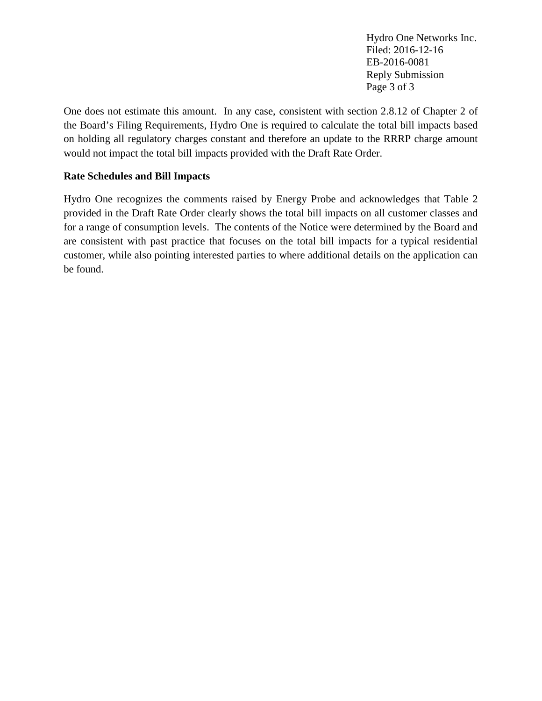Hydro One Networks Inc. Filed: 2016-12-16 EB-2016-0081 Reply Submission Page 3 of 3

One does not estimate this amount. In any case, consistent with section 2.8.12 of Chapter 2 of the Board's Filing Requirements, Hydro One is required to calculate the total bill impacts based on holding all regulatory charges constant and therefore an update to the RRRP charge amount would not impact the total bill impacts provided with the Draft Rate Order.

# **Rate Schedules and Bill Impacts**

Hydro One recognizes the comments raised by Energy Probe and acknowledges that Table 2 provided in the Draft Rate Order clearly shows the total bill impacts on all customer classes and for a range of consumption levels. The contents of the Notice were determined by the Board and are consistent with past practice that focuses on the total bill impacts for a typical residential customer, while also pointing interested parties to where additional details on the application can be found.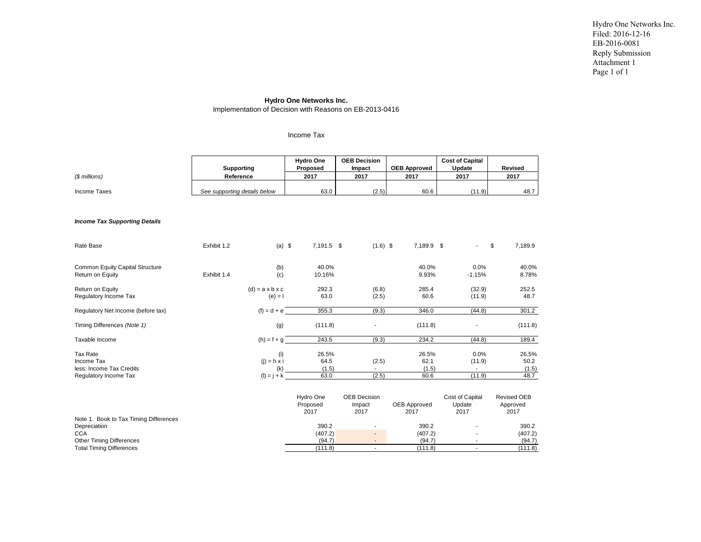Hydro One Networks Inc. Filed: 2016-12-16 EB-2016-0081 Reply Submission Attachment 1 Page 1 of 1

#### **Hydro One Networks Inc.**

Implementation of Decision with Reasons on EB-2013-0416

#### Income Tax

| $$$ millions)                                                                                                                              | <b>Supporting</b><br>Reference |                                                   |  | <b>Hydro One</b><br>Proposed<br>2017                                   |  | <b>OEB Decision</b><br>Impact<br>2017                                             | <b>OEB Approved</b><br>2017                                          | <b>Cost of Capital</b><br>Update<br>2017 | Revised<br>2017                                                                 |  |
|--------------------------------------------------------------------------------------------------------------------------------------------|--------------------------------|---------------------------------------------------|--|------------------------------------------------------------------------|--|-----------------------------------------------------------------------------------|----------------------------------------------------------------------|------------------------------------------|---------------------------------------------------------------------------------|--|
| <b>Income Taxes</b>                                                                                                                        | See supporting details below   |                                                   |  | 63.0                                                                   |  | (2.5)                                                                             | 60.6                                                                 | (11.9)                                   | 48.7                                                                            |  |
| <b>Income Tax Supporting Details</b>                                                                                                       |                                |                                                   |  |                                                                        |  |                                                                                   |                                                                      |                                          |                                                                                 |  |
| Rate Base                                                                                                                                  | Exhibit 1.2                    | $(a)$ \$                                          |  | 7,191.5 \$                                                             |  | $(1.6)$ \$                                                                        | 7,189.9 \$                                                           |                                          | \$<br>7,189.9                                                                   |  |
| Common Equity Capital Structure<br>Return on Equity                                                                                        | Exhibit 1.4                    | (b)<br>(c)                                        |  | 40.0%<br>10.16%                                                        |  |                                                                                   | 40.0%<br>9.93%                                                       | 0.0%<br>$-1.15%$                         | 40.0%<br>8.78%                                                                  |  |
| Return on Equity<br>Regulatory Income Tax                                                                                                  |                                | $(d) = a \times b \times c$<br>$(e) = 1$          |  | 292.3<br>63.0                                                          |  | (6.8)<br>(2.5)                                                                    | 285.4<br>60.6                                                        | (32.9)<br>(11.9)                         | 252.5<br>48.7                                                                   |  |
| Regulatory Net Income (before tax)                                                                                                         |                                | $(f) = d + e$                                     |  | 355.3                                                                  |  | (9.3)                                                                             | 346.0                                                                | (44.8)                                   | 301.2                                                                           |  |
| Timing Differences (Note 1)                                                                                                                |                                | (g)                                               |  | (111.8)                                                                |  |                                                                                   | (111.8)                                                              |                                          | (111.8)                                                                         |  |
| Taxable Income                                                                                                                             |                                | $(h) = f + g$                                     |  | 243.5                                                                  |  | (9.3)                                                                             | 234.2                                                                | (44.8)                                   | 189.4                                                                           |  |
| <b>Tax Rate</b><br><b>Income Tax</b><br>less: Income Tax Credits<br>Regulatory Income Tax                                                  |                                | (i)<br>$(i) = h \times i$<br>(k)<br>$(I) = j + k$ |  | 26.5%<br>64.5<br>(1.5)<br>63.0                                         |  | (2.5)<br>(2.5)                                                                    | 26.5%<br>62.1<br>(1.5)<br>60.6                                       | 0.0%<br>(11.9)<br>$\sim$<br>(11.9)       | 26.5%<br>50.2<br>(1.5)<br>48.7                                                  |  |
| Note 1. Book to Tax Timing Differences<br>Depreciation<br><b>CCA</b><br><b>Other Timing Differences</b><br><b>Total Timing Differences</b> |                                |                                                   |  | Hydro One<br>Proposed<br>2017<br>390.2<br>(407.2)<br>(94.7)<br>(111.8) |  | <b>OEB Decision</b><br>Impact<br>2017<br>$\overline{\phantom{a}}$<br>$\mathbf{r}$ | <b>OEB Approved</b><br>2017<br>390.2<br>(407.2)<br>(94.7)<br>(111.8) | Cost of Capital<br>Update<br>2017<br>÷,  | <b>Revised OEB</b><br>Approved<br>2017<br>390.2<br>(407.2)<br>(94.7)<br>(111.8) |  |